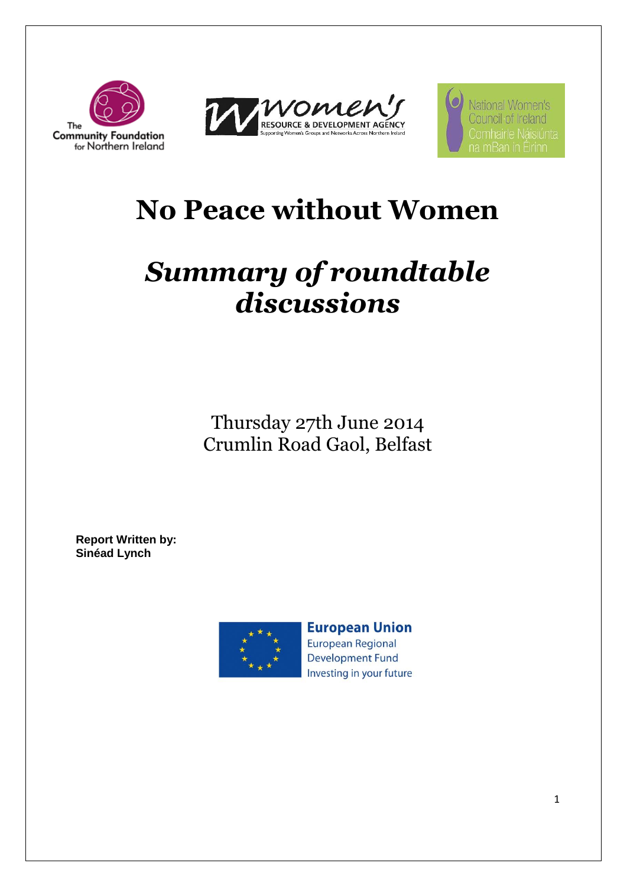



National Women's Council of Ireland

# **No Peace without Women**

# *Summary of roundtable discussions*

Thursday 27th June 2014 Crumlin Road Gaol, Belfast

**Report Written by: Sinéad Lynch**



**European Union** 

**European Regional Development Fund** Investing in your future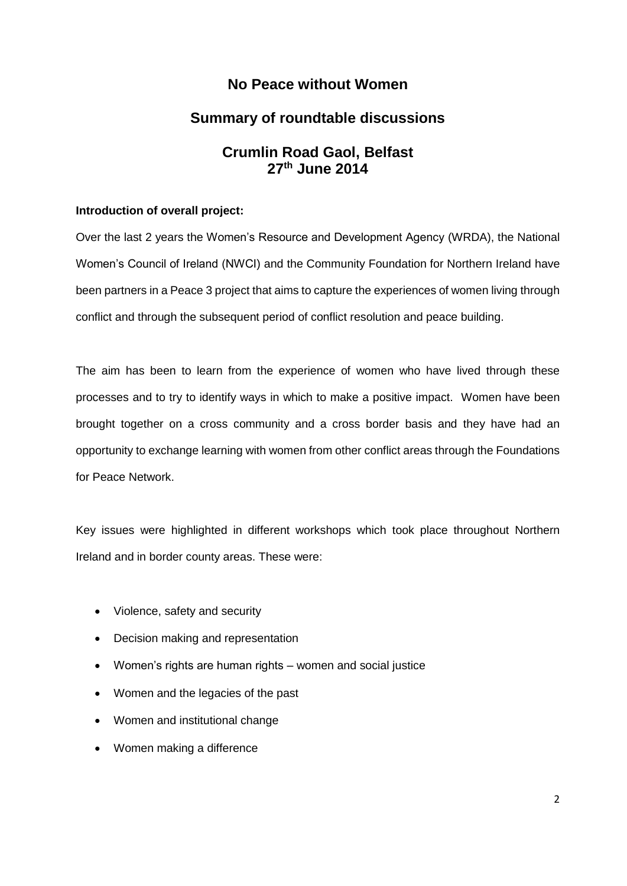### **No Peace without Women**

## **Summary of roundtable discussions**

### **Crumlin Road Gaol, Belfast 27th June 2014**

#### **Introduction of overall project:**

Over the last 2 years the Women's Resource and Development Agency (WRDA), the National Women's Council of Ireland (NWCI) and the Community Foundation for Northern Ireland have been partners in a Peace 3 project that aims to capture the experiences of women living through conflict and through the subsequent period of conflict resolution and peace building.

The aim has been to learn from the experience of women who have lived through these processes and to try to identify ways in which to make a positive impact. Women have been brought together on a cross community and a cross border basis and they have had an opportunity to exchange learning with women from other conflict areas through the Foundations for Peace Network.

Key issues were highlighted in different workshops which took place throughout Northern Ireland and in border county areas. These were:

- Violence, safety and security
- Decision making and representation
- Women's rights are human rights women and social justice
- Women and the legacies of the past
- Women and institutional change
- Women making a difference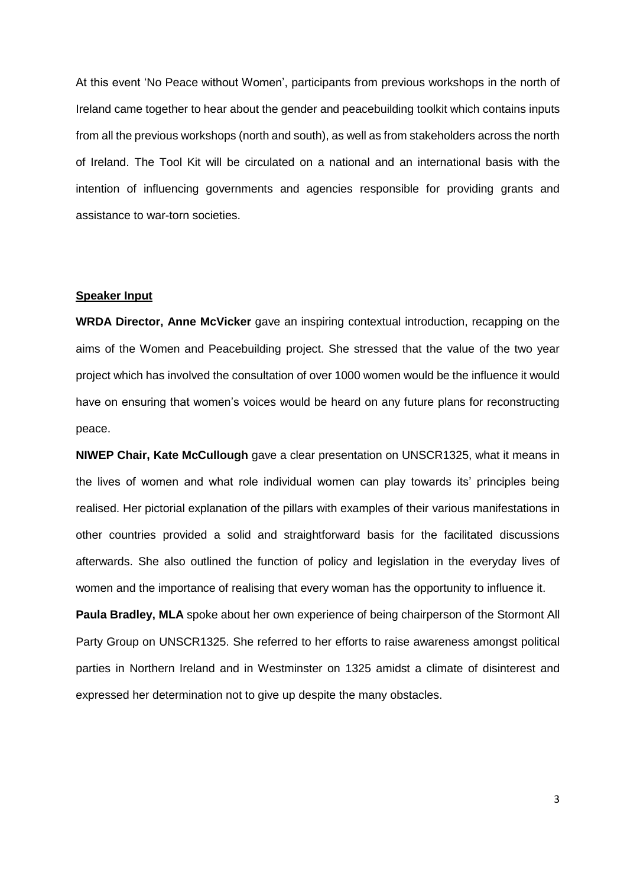At this event 'No Peace without Women', participants from previous workshops in the north of Ireland came together to hear about the gender and peacebuilding toolkit which contains inputs from all the previous workshops (north and south), as well as from stakeholders across the north of Ireland. The Tool Kit will be circulated on a national and an international basis with the intention of influencing governments and agencies responsible for providing grants and assistance to war-torn societies.

#### **Speaker Input**

**WRDA Director, Anne McVicker** gave an inspiring contextual introduction, recapping on the aims of the Women and Peacebuilding project. She stressed that the value of the two year project which has involved the consultation of over 1000 women would be the influence it would have on ensuring that women's voices would be heard on any future plans for reconstructing peace.

**NIWEP Chair, Kate McCullough** gave a clear presentation on UNSCR1325, what it means in the lives of women and what role individual women can play towards its' principles being realised. Her pictorial explanation of the pillars with examples of their various manifestations in other countries provided a solid and straightforward basis for the facilitated discussions afterwards. She also outlined the function of policy and legislation in the everyday lives of women and the importance of realising that every woman has the opportunity to influence it.

**Paula Bradley, MLA** spoke about her own experience of being chairperson of the Stormont All Party Group on UNSCR1325. She referred to her efforts to raise awareness amongst political parties in Northern Ireland and in Westminster on 1325 amidst a climate of disinterest and expressed her determination not to give up despite the many obstacles.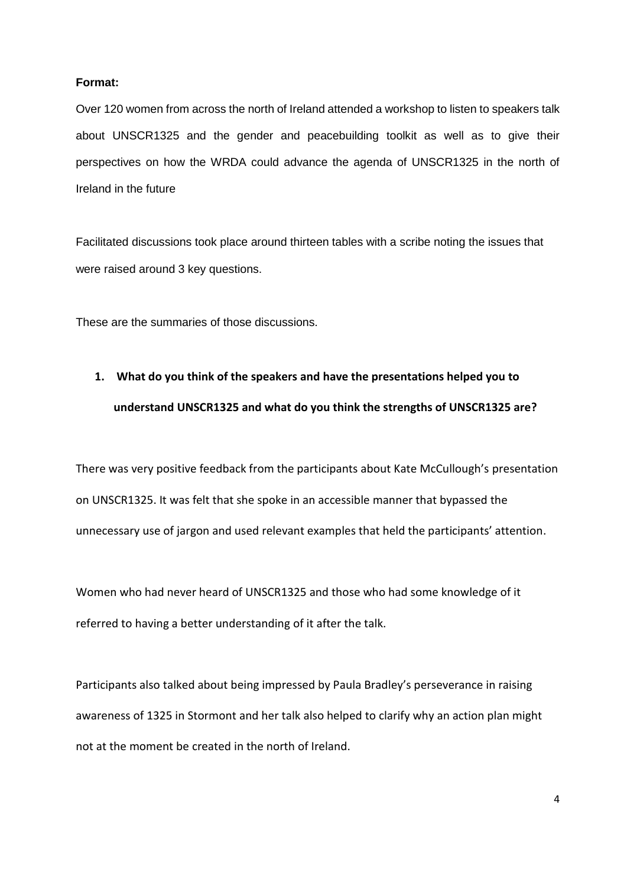#### **Format:**

Over 120 women from across the north of Ireland attended a workshop to listen to speakers talk about UNSCR1325 and the gender and peacebuilding toolkit as well as to give their perspectives on how the WRDA could advance the agenda of UNSCR1325 in the north of Ireland in the future

Facilitated discussions took place around thirteen tables with a scribe noting the issues that were raised around 3 key questions.

These are the summaries of those discussions.

# **1. What do you think of the speakers and have the presentations helped you to understand UNSCR1325 and what do you think the strengths of UNSCR1325 are?**

There was very positive feedback from the participants about Kate McCullough's presentation on UNSCR1325. It was felt that she spoke in an accessible manner that bypassed the unnecessary use of jargon and used relevant examples that held the participants' attention.

Women who had never heard of UNSCR1325 and those who had some knowledge of it referred to having a better understanding of it after the talk.

Participants also talked about being impressed by Paula Bradley's perseverance in raising awareness of 1325 in Stormont and her talk also helped to clarify why an action plan might not at the moment be created in the north of Ireland.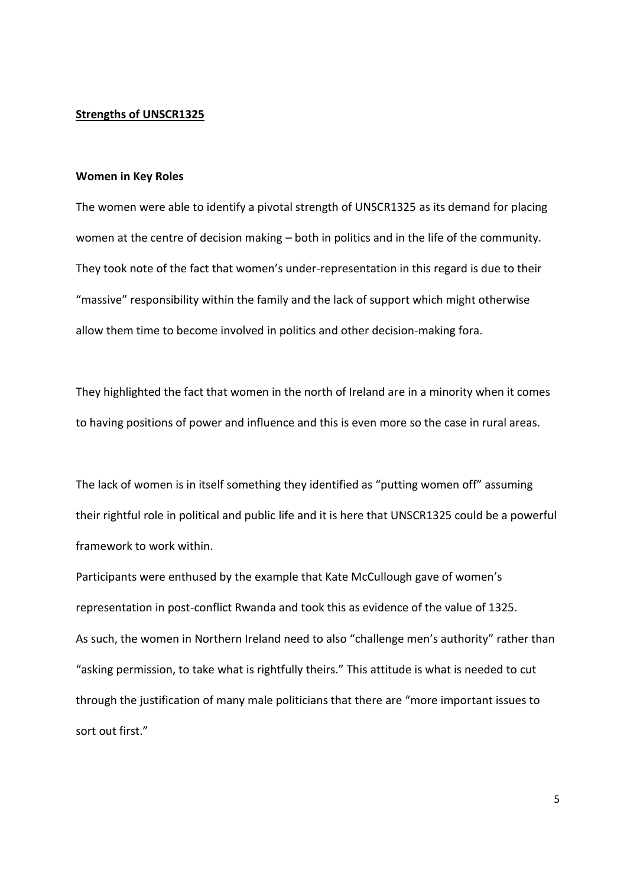#### **Strengths of UNSCR1325**

#### **Women in Key Roles**

The women were able to identify a pivotal strength of UNSCR1325 as its demand for placing women at the centre of decision making – both in politics and in the life of the community. They took note of the fact that women's under-representation in this regard is due to their "massive" responsibility within the family and the lack of support which might otherwise allow them time to become involved in politics and other decision-making fora.

They highlighted the fact that women in the north of Ireland are in a minority when it comes to having positions of power and influence and this is even more so the case in rural areas.

The lack of women is in itself something they identified as "putting women off" assuming their rightful role in political and public life and it is here that UNSCR1325 could be a powerful framework to work within.

Participants were enthused by the example that Kate McCullough gave of women's representation in post-conflict Rwanda and took this as evidence of the value of 1325. As such, the women in Northern Ireland need to also "challenge men's authority" rather than "asking permission, to take what is rightfully theirs." This attitude is what is needed to cut through the justification of many male politicians that there are "more important issues to sort out first."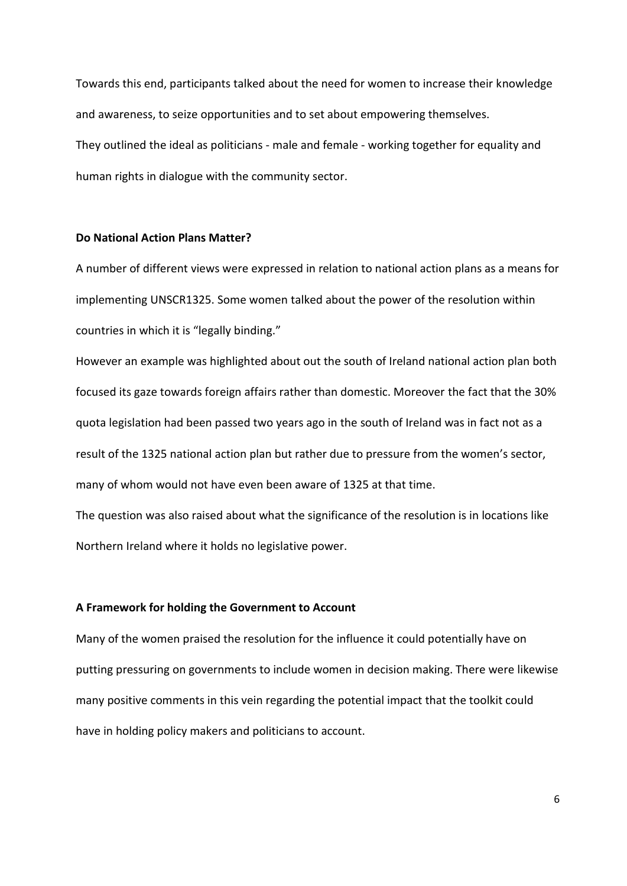Towards this end, participants talked about the need for women to increase their knowledge and awareness, to seize opportunities and to set about empowering themselves. They outlined the ideal as politicians - male and female - working together for equality and human rights in dialogue with the community sector.

#### **Do National Action Plans Matter?**

A number of different views were expressed in relation to national action plans as a means for implementing UNSCR1325. Some women talked about the power of the resolution within countries in which it is "legally binding."

However an example was highlighted about out the south of Ireland national action plan both focused its gaze towards foreign affairs rather than domestic. Moreover the fact that the 30% quota legislation had been passed two years ago in the south of Ireland was in fact not as a result of the 1325 national action plan but rather due to pressure from the women's sector, many of whom would not have even been aware of 1325 at that time.

The question was also raised about what the significance of the resolution is in locations like Northern Ireland where it holds no legislative power.

#### **A Framework for holding the Government to Account**

Many of the women praised the resolution for the influence it could potentially have on putting pressuring on governments to include women in decision making. There were likewise many positive comments in this vein regarding the potential impact that the toolkit could have in holding policy makers and politicians to account.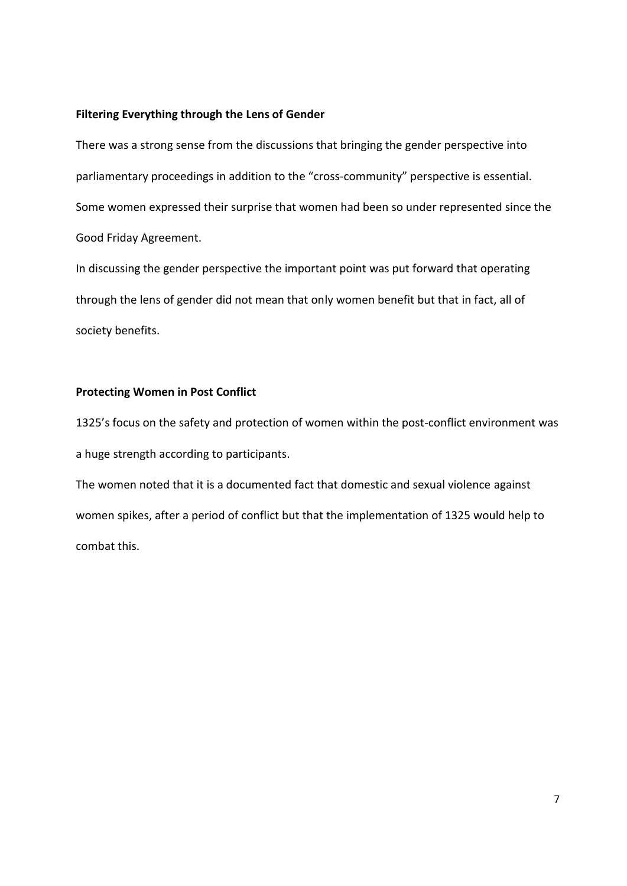#### **Filtering Everything through the Lens of Gender**

There was a strong sense from the discussions that bringing the gender perspective into parliamentary proceedings in addition to the "cross-community" perspective is essential. Some women expressed their surprise that women had been so under represented since the Good Friday Agreement.

In discussing the gender perspective the important point was put forward that operating through the lens of gender did not mean that only women benefit but that in fact, all of society benefits.

#### **Protecting Women in Post Conflict**

1325's focus on the safety and protection of women within the post-conflict environment was a huge strength according to participants.

The women noted that it is a documented fact that domestic and sexual violence against women spikes, after a period of conflict but that the implementation of 1325 would help to combat this.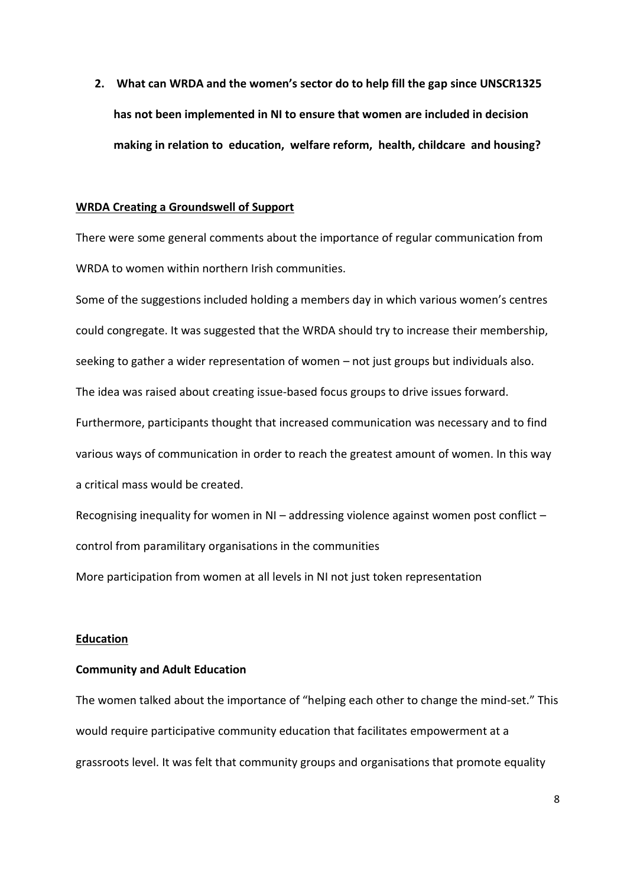**2. What can WRDA and the women's sector do to help fill the gap since UNSCR1325 has not been implemented in NI to ensure that women are included in decision making in relation to education, welfare reform, health, childcare and housing?**

#### **WRDA Creating a Groundswell of Support**

There were some general comments about the importance of regular communication from WRDA to women within northern Irish communities.

Some of the suggestions included holding a members day in which various women's centres could congregate. It was suggested that the WRDA should try to increase their membership, seeking to gather a wider representation of women – not just groups but individuals also. The idea was raised about creating issue-based focus groups to drive issues forward. Furthermore, participants thought that increased communication was necessary and to find various ways of communication in order to reach the greatest amount of women. In this way a critical mass would be created.

Recognising inequality for women in NI – addressing violence against women post conflict – control from paramilitary organisations in the communities

More participation from women at all levels in NI not just token representation

#### **Education**

#### **Community and Adult Education**

The women talked about the importance of "helping each other to change the mind-set." This would require participative community education that facilitates empowerment at a grassroots level. It was felt that community groups and organisations that promote equality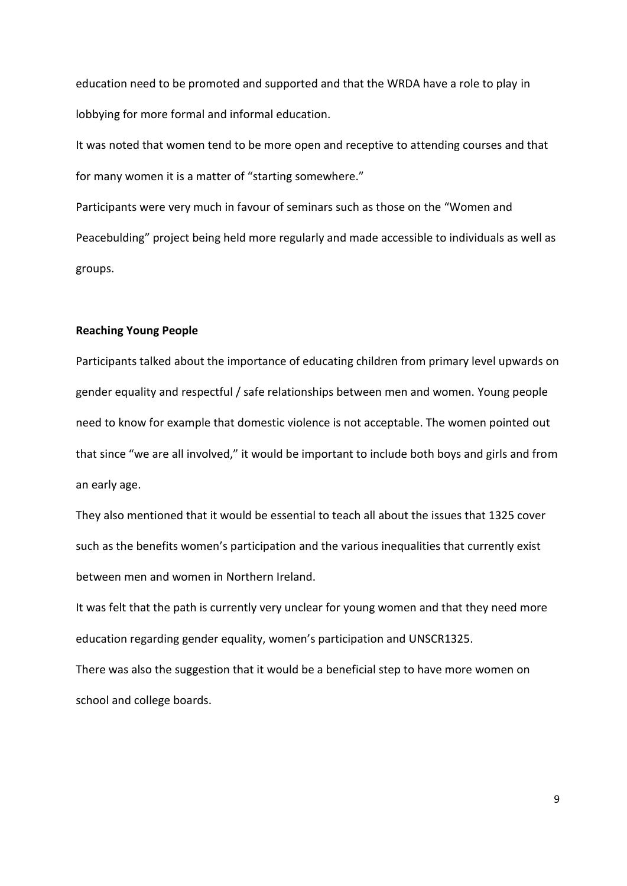education need to be promoted and supported and that the WRDA have a role to play in lobbying for more formal and informal education.

It was noted that women tend to be more open and receptive to attending courses and that for many women it is a matter of "starting somewhere."

Participants were very much in favour of seminars such as those on the "Women and Peacebulding" project being held more regularly and made accessible to individuals as well as groups.

#### **Reaching Young People**

Participants talked about the importance of educating children from primary level upwards on gender equality and respectful / safe relationships between men and women. Young people need to know for example that domestic violence is not acceptable. The women pointed out that since "we are all involved," it would be important to include both boys and girls and from an early age.

They also mentioned that it would be essential to teach all about the issues that 1325 cover such as the benefits women's participation and the various inequalities that currently exist between men and women in Northern Ireland.

It was felt that the path is currently very unclear for young women and that they need more education regarding gender equality, women's participation and UNSCR1325.

There was also the suggestion that it would be a beneficial step to have more women on school and college boards.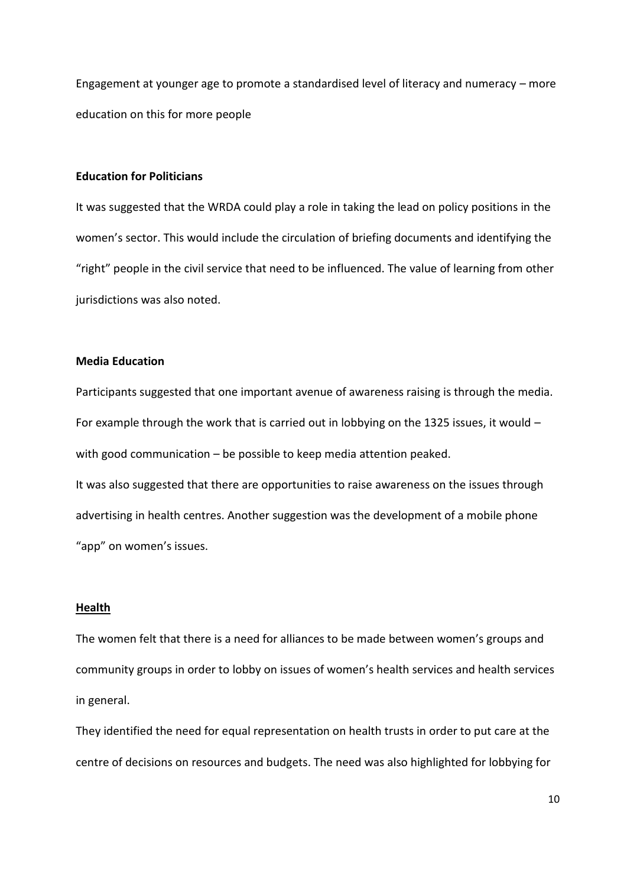Engagement at younger age to promote a standardised level of literacy and numeracy – more education on this for more people

#### **Education for Politicians**

It was suggested that the WRDA could play a role in taking the lead on policy positions in the women's sector. This would include the circulation of briefing documents and identifying the "right" people in the civil service that need to be influenced. The value of learning from other jurisdictions was also noted.

#### **Media Education**

Participants suggested that one important avenue of awareness raising is through the media. For example through the work that is carried out in lobbying on the 1325 issues, it would – with good communication – be possible to keep media attention peaked.

It was also suggested that there are opportunities to raise awareness on the issues through advertising in health centres. Another suggestion was the development of a mobile phone "app" on women's issues.

#### **Health**

The women felt that there is a need for alliances to be made between women's groups and community groups in order to lobby on issues of women's health services and health services in general.

They identified the need for equal representation on health trusts in order to put care at the centre of decisions on resources and budgets. The need was also highlighted for lobbying for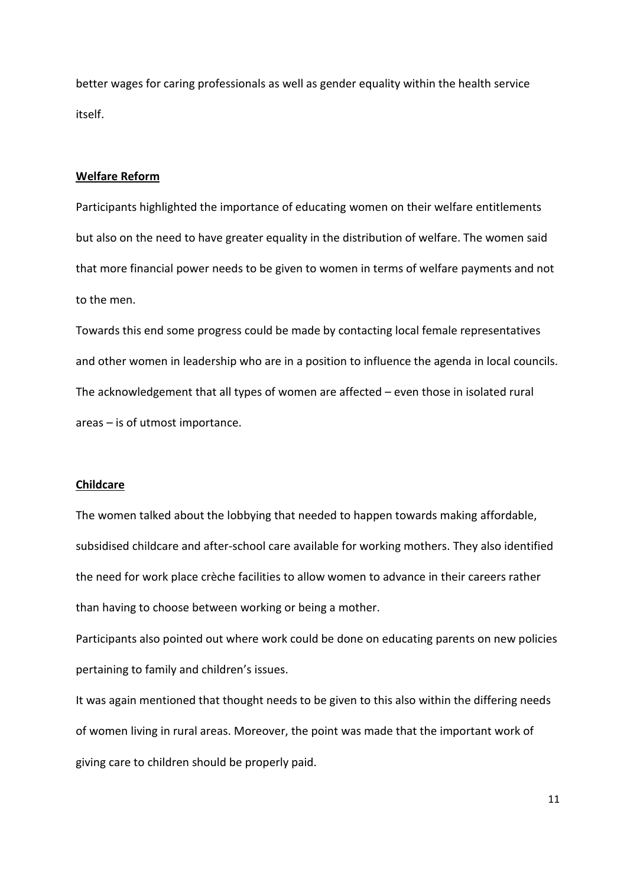better wages for caring professionals as well as gender equality within the health service itself.

#### **Welfare Reform**

Participants highlighted the importance of educating women on their welfare entitlements but also on the need to have greater equality in the distribution of welfare. The women said that more financial power needs to be given to women in terms of welfare payments and not to the men.

Towards this end some progress could be made by contacting local female representatives and other women in leadership who are in a position to influence the agenda in local councils. The acknowledgement that all types of women are affected – even those in isolated rural areas – is of utmost importance.

#### **Childcare**

The women talked about the lobbying that needed to happen towards making affordable, subsidised childcare and after-school care available for working mothers. They also identified the need for work place crèche facilities to allow women to advance in their careers rather than having to choose between working or being a mother.

Participants also pointed out where work could be done on educating parents on new policies pertaining to family and children's issues.

It was again mentioned that thought needs to be given to this also within the differing needs of women living in rural areas. Moreover, the point was made that the important work of giving care to children should be properly paid.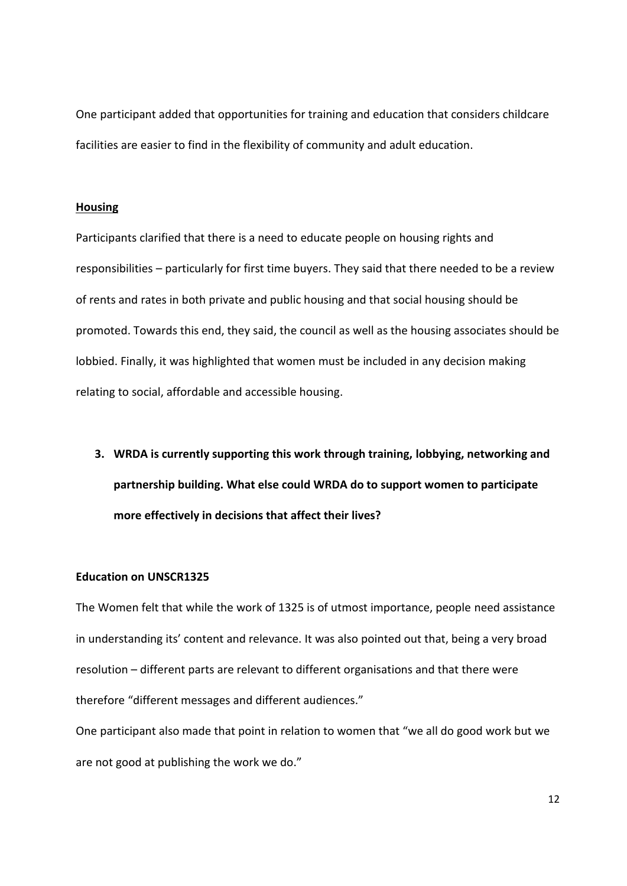One participant added that opportunities for training and education that considers childcare facilities are easier to find in the flexibility of community and adult education.

#### **Housing**

Participants clarified that there is a need to educate people on housing rights and responsibilities – particularly for first time buyers. They said that there needed to be a review of rents and rates in both private and public housing and that social housing should be promoted. Towards this end, they said, the council as well as the housing associates should be lobbied. Finally, it was highlighted that women must be included in any decision making relating to social, affordable and accessible housing.

**3. WRDA is currently supporting this work through training, lobbying, networking and partnership building. What else could WRDA do to support women to participate more effectively in decisions that affect their lives?**

#### **Education on UNSCR1325**

The Women felt that while the work of 1325 is of utmost importance, people need assistance in understanding its' content and relevance. It was also pointed out that, being a very broad resolution – different parts are relevant to different organisations and that there were therefore "different messages and different audiences."

One participant also made that point in relation to women that "we all do good work but we are not good at publishing the work we do."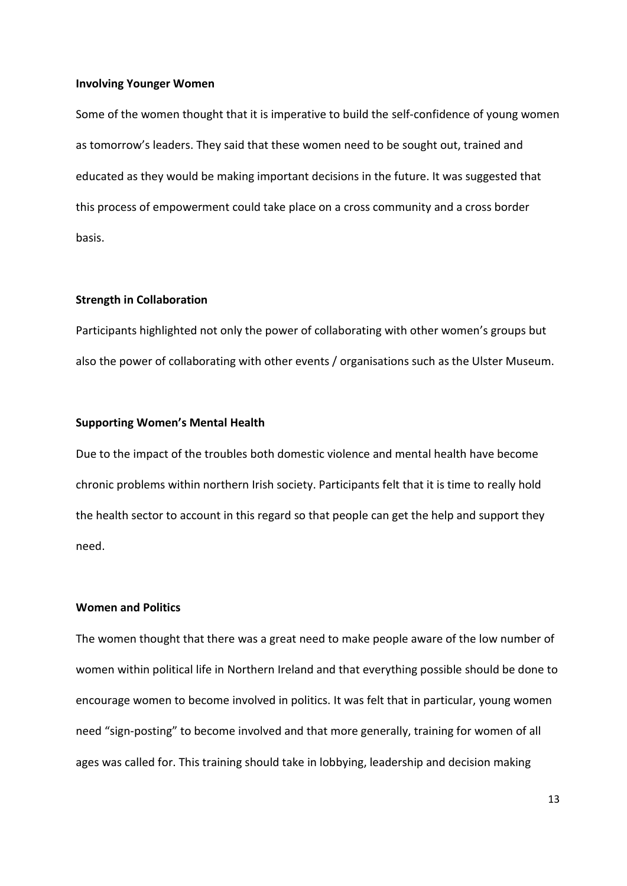#### **Involving Younger Women**

Some of the women thought that it is imperative to build the self-confidence of young women as tomorrow's leaders. They said that these women need to be sought out, trained and educated as they would be making important decisions in the future. It was suggested that this process of empowerment could take place on a cross community and a cross border basis.

#### **Strength in Collaboration**

Participants highlighted not only the power of collaborating with other women's groups but also the power of collaborating with other events / organisations such as the Ulster Museum.

#### **Supporting Women's Mental Health**

Due to the impact of the troubles both domestic violence and mental health have become chronic problems within northern Irish society. Participants felt that it is time to really hold the health sector to account in this regard so that people can get the help and support they need.

#### **Women and Politics**

The women thought that there was a great need to make people aware of the low number of women within political life in Northern Ireland and that everything possible should be done to encourage women to become involved in politics. It was felt that in particular, young women need "sign-posting" to become involved and that more generally, training for women of all ages was called for. This training should take in lobbying, leadership and decision making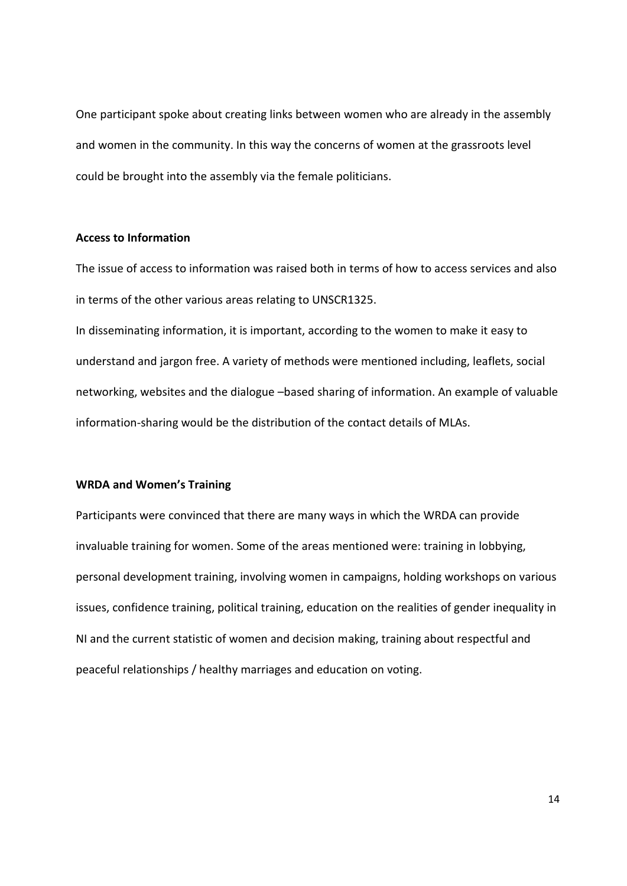One participant spoke about creating links between women who are already in the assembly and women in the community. In this way the concerns of women at the grassroots level could be brought into the assembly via the female politicians.

#### **Access to Information**

The issue of access to information was raised both in terms of how to access services and also in terms of the other various areas relating to UNSCR1325.

In disseminating information, it is important, according to the women to make it easy to understand and jargon free. A variety of methods were mentioned including, leaflets, social networking, websites and the dialogue –based sharing of information. An example of valuable information-sharing would be the distribution of the contact details of MLAs.

#### **WRDA and Women's Training**

Participants were convinced that there are many ways in which the WRDA can provide invaluable training for women. Some of the areas mentioned were: training in lobbying, personal development training, involving women in campaigns, holding workshops on various issues, confidence training, political training, education on the realities of gender inequality in NI and the current statistic of women and decision making, training about respectful and peaceful relationships / healthy marriages and education on voting.